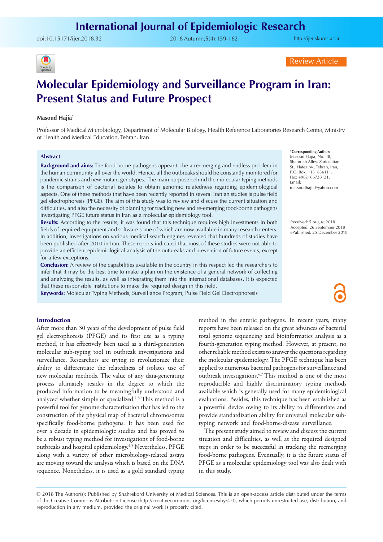doi:[10.15171/ijer.2018.32](https://doi.org/10.15171/ijer.2018.32) 2018 Autumn;5(4):159-162

<http://ijer.skums.ac.ir>



Review Article

# **Molecular Epidemiology and Surveillance Program in Iran: Present Status and Future Prospect**

#### **Masoud Hajia\***

Professor of Medical Microbiology, Department of Molecular Biology, Health Reference Laboratories Research Center, Ministry of Health and Medical Education, Tehran, Iran

#### **Abstract**

**Background and aims:** The food-borne pathogens appear to be a reemerging and endless problem in the human community all over the world. Hence, all the outbreaks should be constantly monitored for pandemic strains and new mutant genotypes. The main purpose behind the molecular typing methods is the comparison of bacterial isolates to obtain genomic relatedness regarding epidemiological aspects. One of these methods that have been recently reported in several Iranian studies is pulse field gel electrophoresis (PFGE). The aim of this study was to review and discuss the current situation and difficulties, and also the necessity of planning for tracking new and re-emerging food-borne pathogens investigating PFGE future status in Iran as a molecular epidemiology tool.

**Results:** According to the results, it was found that this technique requires high investments in both fields of required equipment and software some of which are now available in many research centers. In addition, investigations on various medical search engines revealed that hundreds of studies have been published after 2010 in Iran. These reports indicated that most of these studies were not able to provide an efficient epidemiological analysis of the outbreaks and prevention of future events, except for a few exceptions.

**Conclusion:** A review of the capabilities available in the country in this respect led the researchers to infer that it may be the best time to make a plan on the existence of a general network of collecting and analyzing the results, as well as integrating them into the international databases. It is expected that these responsible institutions to make the required design in this field.

**Keywords:** Molecular Typing Methods, Surveillance Program, Pulse Field Gel Electrophoresis

\***Corresponding Author:** Masoud Hajia, No. 48, Shahrokh Alley, Zartoshtian St., Hafez Av., Tehran, Iran, P.O. Box. 1131636111. Fax: +982166728121, Email: massoudhajia@yahoo.com

Received: 5 August 2018 Accepted: 26 September 2018 ePublished: 25 December 2018

#### **Introduction**

After more than 30 years of the development of pulse field gel electrophoresis (PFGE) and its first use as a typing method, it has effectively been used as a third-generation molecular sub-typing tool in outbreak investigations and surveillance. Researchers are trying to revolutionize their ability to differentiate the relatedness of isolates use of new molecular methods. The value of any data-generating process ultimately resides in the degree to which the produced information to be meaningfully understood and analyzed whether simple or specialized.<sup>1-3</sup> This method is a powerful tool for genome characterization that has led to the construction of the physical map of bacterial chromosomes specifically food-borne pathogens. It has been used for over a decade in epidemiologic studies and has proved to be a robust typing method for investigations of food-borne outbreaks and hospital epidemiology.4,5 Nevertheless, PFGE along with a variety of other microbiology-related assays are moving toward the analysis which is based on the DNA sequence. Nonetheless, it is used as a gold standard typing

method in the enteric pathogens. In recent years, many reports have been released on the great advances of bacterial total genome sequencing and bioinformatics analysis as a fourth-generation typing method. However, at present, no other reliable method exists to answer the questions regarding the molecular epidemiology. The PFGE technique has been applied to numerous bacterial pathogens for surveillance and outbreak investigations.<sup>6,7</sup> This method is one of the most reproducible and highly discriminatory typing methods available which is generally used for many epidemiological evaluations. Besides, this technique has been established as a powerful device owing to its ability to differentiate and provide standardization ability for universal molecular subtyping network and food-borne-disease surveillance.

The present study aimed to review and discuss the current situation and difficulties, as well as the required designed steps in order to be successful in tracking the reemerging food-borne pathogens. Eventually, it is the future status of PFGE as a molecular epidemiology tool was also dealt with in this study.

<sup>© 2018</sup> The Author(s); Published by Shahrekord University of Medical Sciences. This is an open-access article distributed under the terms of the Creative Commons Attribution License (http://creativecommons.org/licenses/by/4.0), which permits unrestricted use, distribution, and reproduction in any medium, provided the original work is properly cited.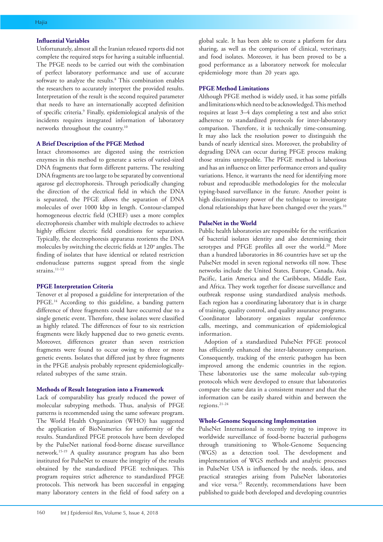## **Influential Variables**

Unfortunately, almost all the Iranian released reports did not complete the required steps for having a suitable influential. The PFGE needs to be carried out with the combination of perfect laboratory performance and use of accurate software to analyze the results.<sup>8</sup> This combination enables the researchers to accurately interpret the provided results. Interpretation of the result is the second required parameter that needs to have an internationally accepted definition of specific criteria.9 Finally, epidemiological analysis of the incidents requires integrated information of laboratory networks throughout the country.10

# **A Brief Description of the PFGE Method**

Intact chromosomes are digested using the restriction enzymes in this method to generate a series of varied-sized DNA fragments that form different patterns. The resulting DNA fragments are too large to be separated by conventional agarose gel electrophoresis. Through periodically changing the direction of the electrical field in which the DNA is separated, the PFGE allows the separation of DNA molecules of over 1000 kbp in length. Contour-clamped homogeneous electric field (CHEF) uses a more complex electrophoresis chamber with multiple electrodes to achieve highly efficient electric field conditions for separation. Typically, the electrophoresis apparatus reorients the DNA molecules by switching the electric fields at 120° angles. The finding of isolates that have identical or related restriction endonuclease patterns suggest spread from the single strains.<sup>11-13</sup>

#### **PFGE Interpretation Criteria**

Tenover et al proposed a guideline for interpretation of the PFGE.<sup>14</sup> According to this guideline, a banding pattern difference of three fragments could have occurred due to a single genetic event. Therefore, these isolates were classified as highly related. The differences of four to six restriction fragments were likely happened due to two genetic events. Moreover, differences greater than seven restriction fragments were found to occur owing to three or more genetic events. Isolates that differed just by three fragments in the PFGE analysis probably represent epidemiologicallyrelated subtypes of the same strain.

#### **Methods of Result Integration into a Framework**

Lack of comparability has greatly reduced the power of molecular subtyping methods. Thus, analysis of PFGE patterns is recommended using the same software program. The World Health Organization (WHO) has suggested the application of BioNumerics for uniformity of the results. Standardized PFGE protocols have been developed by the PulseNet national food-borne disease surveillance network.15-19 A quality assurance program has also been instituted for PulseNet to ensure the integrity of the results obtained by the standardized PFGE techniques. This program requires strict adherence to standardized PFGE protocols. This network has been successful in engaging many laboratory centers in the field of food safety on a global scale. It has been able to create a platform for data sharing, as well as the comparison of clinical, veterinary, and food isolates. Moreover, it has been proved to be a good performance as a laboratory network for molecular epidemiology more than 20 years ago.

# **PFGE Method Limitations**

Although PFGE method is widely used, it has some pitfalls and limitations which need to be acknowledged. This method requires at least 3–4 days completing a test and also strict adherence to standardized protocols for inter-laboratory comparison. Therefore, it is technically time-consuming. It may also lack the resolution power to distinguish the bands of nearly identical sizes. Moreover, the probability of degrading DNA can occur during PFGE process making those strains untypeable. The PFGE method is laborious and has an influence on litter performance errors and quality variations. Hence, it warrants the need for identifying more robust and reproducible methodologies for the molecular typing-based surveillance in the future. Another point is high discriminatory power of the technique to investigate clonal relationships that have been changed over the years.<sup>10</sup>

## **PulseNet in the World**

Public health laboratories are responsible for the verification of bacterial isolates identity and also determining their serotypes and PFGE profiles all over the world.<sup>20</sup> More than a hundred laboratories in 86 countries have set up the PulseNet model in seven regional networks till now. These networks include the United States, Europe, Canada, Asia Pacific, Latin America and the Caribbean, Middle East, and Africa. They work together for disease surveillance and outbreak response using standardized analysis methods. Each region has a coordinating laboratory that is in charge of training, quality control, and quality assurance programs. Coordinator laboratory organizes regular conference calls, meetings, and communication of epidemiological information.

Adoption of a standardized PulseNet PFGE protocol has efficiently enhanced the inter-laboratory comparison. Consequently, tracking of the enteric pathogen has been improved among the endemic countries in the region. These laboratories use the same molecular sub-typing protocols which were developed to ensure that laboratories compare the same data in a consistent manner and that the information can be easily shared within and between the regions.21-24

# **Whole-Genome Sequencing Implementation**

PulseNet International is recently trying to improve its worldwide surveillance of food-borne bacterial pathogens through transitioning to Whole-Genome Sequencing (WGS) as a detection tool. The development and implementation of WGS methods and analytic processes in PulseNet USA is influenced by the needs, ideas, and practical strategies arising from PulseNet laboratories and vice versa.<sup>25</sup> Recently, recommendations have been published to guide both developed and developing countries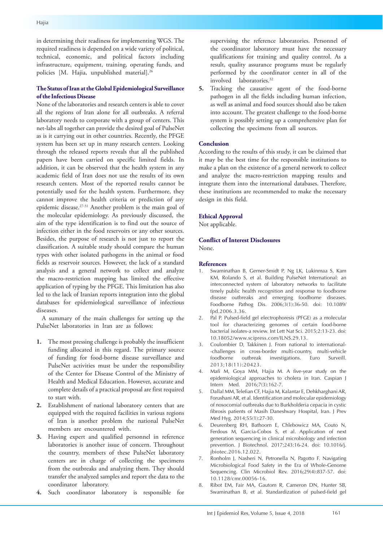in determining their readiness for implementing WGS. The required readiness is depended on a wide variety of political, technical, economic, and political factors including infrastructure, equipment, training, operating funds, and policies [M. Hajia, unpublished material].<sup>26</sup>

# **The Status of Iran at the Global Epidemiological Surveillance of the Infectious Disease**

None of the laboratories and research centers is able to cover all the regions of Iran alone for all outbreaks. A referral laboratory needs to corporate with a group of centers. This net-labs all together can provide the desired goal of PulseNet as is it carrying out in other countries. Recently, the PFGE system has been set up in many research centers. Looking through the released reports reveals that all the published papers have been carried on specific limited fields. In addition, it can be observed that the health system in any academic field of Iran does not use the results of its own research centers. Most of the reported results cannot be potentially used for the health system. Furthermore, they cannot improve the health criteria or prediction of any epidemic disease.27-31 Another problem is the main goal of the molecular epidemiology. As previously discussed, the aim of the type identification is to find out the source of infection either in the food reservoirs or any other sources. Besides, the purpose of research is not just to report the classification. A suitable study should compare the human types with other isolated pathogens in the animal or food fields as reservoir sources. However, the lack of a standard analysis and a general network to collect and analyze the macro-restriction mapping has limited the effective application of typing by the PFGE. This limitation has also led to the lack of Iranian reports integration into the global databases for epidemiological surveillance of infectious diseases.

A summary of the main challenges for setting up the PulseNet laboratories in Iran are as follows:

- **1.** The most pressing challenge is probably the insufficient funding allocated in this regard. The primary source of funding for food-borne disease surveillance and PulseNet activities must be under the responsibility of the Center for Disease Control of the Ministry of Health and Medical Education. However, accurate and complete details of a practical proposal are first required to start with.
- **2.** Establishment of national laboratory centers that are equipped with the required facilities in various regions of Iran is another problem the national PulseNet members are encountered with.
- **3.** Having expert and qualified personnel in reference laboratories is another issue of concern. Throughout the country, members of these PulseNet laboratory centers are in charge of collecting the specimens from the outbreaks and analyzing them. They should transfer the analyzed samples and report the data to the coordinator laboratory.
- **4.** Such coordinator laboratory is responsible for

supervising the reference laboratories. Personnel of the coordinator laboratory must have the necessary qualifications for training and quality control. As a result, quality assurance programs must be regularly performed by the coordinator center in all of the involved laboratories.<sup>32</sup>

**5.** Tracking the causative agent of the food-borne pathogen in all the fields including human infection, as well as animal and food sources should also be taken into account. The greatest challenge to the food-borne system is possibly setting up a comprehensive plan for collecting the specimens from all sources.

## **Conclusion**

According to the results of this study, it can be claimed that it may be the best time for the responsible institutions to make a plan on the existence of a general network to collect and analyze the macro-restriction mapping results and integrate them into the international databases. Therefore, these institutions are recommended to make the necessary design in this field.

#### **Ethical Approval**

Not applicable.

# **Conflict of Interest Disclosures**

None.

#### **References**

- 1. Swaminathan B, Gerner-Smidt P, Ng LK, Lukinmaa S, Kam KM, Rolando S, et al. Building PulseNet International: an interconnected system of laboratory networks to facilitate timely public health recognition and response to foodborne disease outbreaks and emerging foodborne diseases. Foodborne Pathog Dis. 2006;3(1):36-50. doi: 10.1089/ fpd.2006.3.36.
- 2. Pal P. Pulsed-field gel electrophoresis (PFGE) as a molecular tool for characterizing genomes of certain food-borne bacterial isolates-a review. Int Lett Nat Sci. 2015;2:13-23. doi: 10.18052/www.scipress.com/ILNS.29.13.
- 3. Coulombier D, Takkinen J. From national to international- -challenges in cross-border multi-country, multi-vehicle foodborne outbreak investigations. Euro Surveill. 2013;18(11):20423.
- 4. Mafi M, Goya MM, Hajia M. A five-year study on the epidemiological approaches to cholera in Iran. Caspian J Intern Med. 2016;7(3):162-7.
- 5. Dallal MM, Telefian CF, Hajia M, Kalantar E, Dehkharghani AR, Forushani AR, et al. Identification and molecular epidemiology of nosocomial outbreaks due to Burkholderia cepacia in cystic fibrosis patients of Masih Daneshvary Hospital, Iran. J Prev Med Hyg. 2014;55(1):27-30.
- 6. Deurenberg RH, Bathoorn E, Chlebowicz MA, Couto N, Ferdous M, Garcia-Cobos S, et al. Application of next generation sequencing in clinical microbiology and infection prevention. J Biotechnol. 2017;243:16-24. doi: 10.1016/j. jbiotec.2016.12.022.
- 7. Ronholm J, Nasheri N, Petronella N, Pagotto F. Navigating Microbiological Food Safety in the Era of Whole-Genome Sequencing. Clin Microbiol Rev. 2016;29(4):837-57. doi: 10.1128/cmr.00056-16.
- 8. Ribot EM, Fair MA, Gautom R, Cameron DN, Hunter SB, Swaminathan B, et al. Standardization of pulsed-field gel